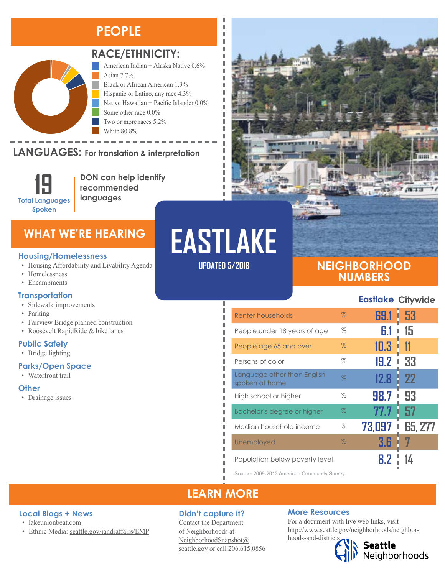### **PEOPLE**



### **RACE/ETHNICITY:**

American Indian + Alaska Native 0.6% Asian 7.7% Black or African American 1.3% Hispanic or Latino, any race 4.3% Native Hawaiian + Pacific Islander 0.0% Some other race 0.0% Two or more races 5.2% White 80.8%

#### **LANGUAGES:** For translation & interpretation Native Hawaiian and Other Pacific Islander Some Other Race



**DON can help identify recommended languages**

#### **Housing/Homelessness**

- Housing Affordability and Livability Agenda
- Homelessness
- Encampments

#### **Transportation**

- Sidewalk improvements
- Parking
- Fairview Bridge planned construction
- Roosevelt RapidRide & bike lanes

### **Public Safety**

• Bridge lighting

### **Parks/Open Space**

**Local Blogs + News** • [lakeunionbeat.com](http://lakeunionbeat.com/)

• Ethnic Media: [seattle.gov/iandraffairs/EMP](http://www.seattle.gov/iandraffairs/EMP)

• Waterfront trail

#### **Other**

• Drainage issues

# WHAT WE'RE HEARING **EASTLAKE**

I

л

л Л л

**UPDATED 5/2018**

### **NEIGHBORHOOD NUMBERS**

### **Eastlake Citywide**

| Renter households                             | $\%$ | 69.1<br>I | 53        |
|-----------------------------------------------|------|-----------|-----------|
| People under 18 years of age                  | %    | 6.1       | 15        |
| People age 65 and over                        | $\%$ | 10.3      | 11        |
| Persons of color                              | $\%$ | 19.2      | 33        |
| Language other than English<br>spoken at home | $\%$ | 12.8      | <b>22</b> |
| High school or higher                         | %    | 98.7      | 93        |
| Bachelor's degree or higher                   | $\%$ | 77.7      | 57        |
| Median household income                       | \$   | 73,097    | 65, 277   |
| Unemployed                                    | $\%$ | 3.6       |           |
| Population below poverty level                |      |           |           |

Source: 2009-2013 American Community Survey

### **LEARN MORE**

### **Didn't capture it?**

Contact the Department of Neighborhoods at [NeighborhoodSnapshot@](mailto:NeighborhoodSnapshot%40%0Aseattle.gov?subject=) [seattle.gov](mailto:NeighborhoodSnapshot%40%0Aseattle.gov?subject=) or call 206.615.0856

### **More Resources**

For a document with live web links, visit [http://www.seattle.gov/neighborhoods/neighbor](http://www.seattle.gov/neighborhoods/neighborhoods-and-districts)[hoods-and-districts](http://www.seattle.gov/neighborhoods/neighborhoods-and-districts)

Seattle<br>Neighborhoods